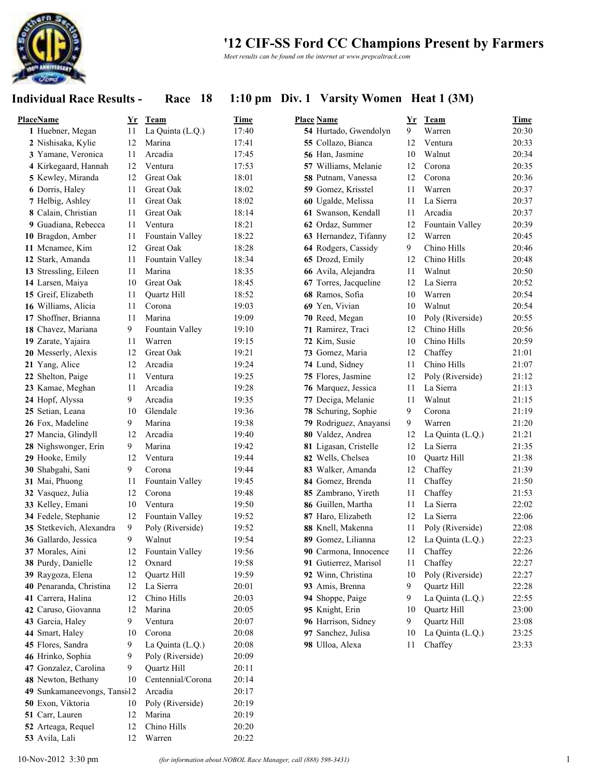

*Meet results can be found on the internet at www.prepcaltrack.com*

### **Individual Race Results - Race 18 1:10 pm Div. 1 Varsity Women Heat 1 (3M)**

| <b>PlaceName</b>             | Yr | Team               | Time  | <b>Place Name</b>      | Yr | Team             | <b>Time</b> |
|------------------------------|----|--------------------|-------|------------------------|----|------------------|-------------|
| 1 Huebner, Megan             | 11 | La Quinta (L.Q.)   | 17:40 | 54 Hurtado, Gwendolyn  | 9  | Warren           | 20:30       |
| 2 Nishisaka, Kylie           | 12 | Marina             | 17:41 | 55 Collazo, Bianca     | 12 | Ventura          | 20:33       |
| 3 Yamane, Veronica           | 11 | Arcadia            | 17:45 | 56 Han, Jasmine        | 10 | Walnut           | 20:34       |
| 4 Kirkegaard, Hannah         | 12 | Ventura            | 17:53 | 57 Williams, Melanie   | 12 | Corona           | 20:35       |
| 5 Kewley, Miranda            | 12 | Great Oak          | 18:01 | 58 Putnam, Vanessa     | 12 | Corona           | 20:36       |
| 6 Dorris, Haley              | 11 | Great Oak          | 18:02 | 59 Gomez, Krisstel     | 11 | Warren           | 20:37       |
| 7 Helbig, Ashley             | 11 | Great Oak          | 18:02 | 60 Ugalde, Melissa     | 11 | La Sierra        | 20:37       |
| 8 Calain, Christian          | 11 | Great Oak          | 18:14 | 61 Swanson, Kendall    | 11 | Arcadia          | 20:37       |
| 9 Guadiana, Rebecca          | 11 | Ventura            | 18:21 | 62 Ordaz, Summer       | 12 | Fountain Valley  | 20:39       |
| 10 Bragdon, Amber            | 11 | Fountain Valley    | 18:22 | 63 Hernandez, Tifanny  | 12 | Warren           | 20:45       |
| 11 Mcnamee, Kim              | 12 | Great Oak          | 18:28 | 64 Rodgers, Cassidy    | 9  | Chino Hills      | 20:46       |
| 12 Stark, Amanda             | 11 | Fountain Valley    | 18:34 | 65 Drozd, Emily        | 12 | Chino Hills      | 20:48       |
| 13 Stressling, Eileen        | 11 | Marina             | 18:35 | 66 Avila, Alejandra    | 11 | Walnut           | 20:50       |
| 14 Larsen, Maiya             | 10 | Great Oak          | 18:45 | 67 Torres, Jacqueline  | 12 | La Sierra        | 20:52       |
| 15 Greif, Elizabeth          | 11 | <b>Ouartz Hill</b> | 18:52 | 68 Ramos, Sofia        | 10 | Warren           | 20:54       |
| 16 Williams, Alicia          | 11 | Corona             | 19:03 | 69 Yen, Vivian         | 10 | Walnut           | 20:54       |
| 17 Shoffner, Brianna         | 11 | Marina             | 19:09 | 70 Reed, Megan         | 10 | Poly (Riverside) | 20:55       |
| 18 Chavez, Mariana           | 9  | Fountain Valley    | 19:10 | 71 Ramirez, Traci      | 12 | Chino Hills      | 20:56       |
| 19 Zarate, Yajaira           | 11 | Warren             | 19:15 | 72 Kim, Susie          | 10 | Chino Hills      | 20:59       |
| 20 Messerly, Alexis          | 12 | Great Oak          | 19:21 | 73 Gomez, Maria        | 12 | Chaffey          | 21:01       |
| 21 Yang, Alice               | 12 | Arcadia            | 19:24 | 74 Lund, Sidney        | 11 | Chino Hills      | 21:07       |
| 22 Shelton, Paige            | 11 | Ventura            | 19:25 | 75 Flores, Jasmine     | 12 | Poly (Riverside) | 21:12       |
| 23 Kamae, Meghan             | 11 | Arcadia            | 19:28 | 76 Marquez, Jessica    | 11 | La Sierra        | 21:13       |
| 24 Hopf, Alyssa              | 9  | Arcadia            | 19:35 | 77 Deciga, Melanie     | 11 | Walnut           | 21:15       |
| 25 Setian, Leana             | 10 | Glendale           | 19:36 | 78 Schuring, Sophie    | 9  | Corona           | 21:19       |
| 26 Fox, Madeline             | 9  | Marina             | 19:38 | 79 Rodriguez, Anayansi | 9  | Warren           | 21:20       |
| 27 Mancia, Glindyll          | 12 | Arcadia            | 19:40 | 80 Valdez, Andrea      | 12 | La Quinta (L.Q.) | 21:21       |
| 28 Nighswonger, Erin         | 9  | Marina             | 19:42 | 81 Ligasan, Cristelle  | 12 | La Sierra        | 21:35       |
| 29 Hooke, Emily              | 12 | Ventura            | 19:44 | 82 Wells, Chelsea      | 10 | Quartz Hill      | 21:38       |
| 30 Shabgahi, Sani            | 9  | Corona             | 19:44 | 83 Walker, Amanda      | 12 | Chaffey          | 21:39       |
| 31 Mai, Phuong               | 11 | Fountain Valley    | 19:45 | 84 Gomez, Brenda       | 11 | Chaffey          | 21:50       |
| 32 Vasquez, Julia            | 12 | Corona             | 19:48 | 85 Zambrano, Yireth    | 11 | Chaffey          | 21:53       |
| 33 Kelley, Emani             | 10 | Ventura            | 19:50 | 86 Guillen, Martha     | 11 | La Sierra        | 22:02       |
| 34 Fedele, Stephanie         | 12 | Fountain Valley    | 19:52 | 87 Haro, Elizabeth     | 12 | La Sierra        | 22:06       |
| 35 Stetkevich, Alexandra     | 9  | Poly (Riverside)   | 19:52 | 88 Knell, Makenna      | 11 | Poly (Riverside) | 22:08       |
| 36 Gallardo, Jessica         | 9  | Walnut             | 19:54 | 89 Gomez, Lilianna     | 12 | La Quinta (L.Q.) | 22:23       |
| 37 Morales, Aini             | 12 | Fountain Valley    | 19:56 | 90 Carmona, Innocence  | 11 | Chaffey          | 22:26       |
| 38 Purdy, Danielle           | 12 | Oxnard             | 19:58 | 91 Gutierrez, Marisol  | 11 | Chaffey          | 22:27       |
| 39 Raygoza, Elena            | 12 | Quartz Hill        | 19:59 | 92 Winn, Christina     | 10 | Poly (Riverside) | 22:27       |
| 40 Penaranda, Christina      | 12 | La Sierra          | 20:01 | 93 Amis, Brenna        | 9  | Quartz Hill      | 22:28       |
| 41 Carrera, Halina           | 12 | Chino Hills        | 20:03 | 94 Shoppe, Paige       | 9  | La Quinta (L.Q.) | 22:55       |
| 42 Caruso, Giovanna          | 12 | Marina             | 20:05 | 95 Knight, Erin        | 10 | Quartz Hill      | 23:00       |
| 43 Garcia, Haley             | 9  | Ventura            | 20:07 | 96 Harrison, Sidney    | 9  | Quartz Hill      | 23:08       |
| 44 Smart, Haley              | 10 | Corona             | 20:08 | 97 Sanchez, Julisa     | 10 | La Quinta (L.Q.) | 23:25       |
| 45 Flores, Sandra            | 9  | La Quinta (L.Q.)   | 20:08 | 98 Ulloa, Alexa        | 11 | Chaffey          | 23:33       |
| 46 Hrinko, Sophia            | 9  | Poly (Riverside)   | 20:09 |                        |    |                  |             |
| 47 Gonzalez, Carolina        | 9  | Quartz Hill        | 20:11 |                        |    |                  |             |
| 48 Newton, Bethany           | 10 | Centennial/Corona  | 20:14 |                        |    |                  |             |
| 49 Sunkamaneevongs, Tansi 12 |    | Arcadia            | 20:17 |                        |    |                  |             |
| 50 Exon, Viktoria            | 10 | Poly (Riverside)   | 20:19 |                        |    |                  |             |
| 51 Carr, Lauren              | 12 | Marina             | 20:19 |                        |    |                  |             |
| 52 Arteaga, Requel           | 12 | Chino Hills        | 20:20 |                        |    |                  |             |

Avila, Lali 12 Warren 20:22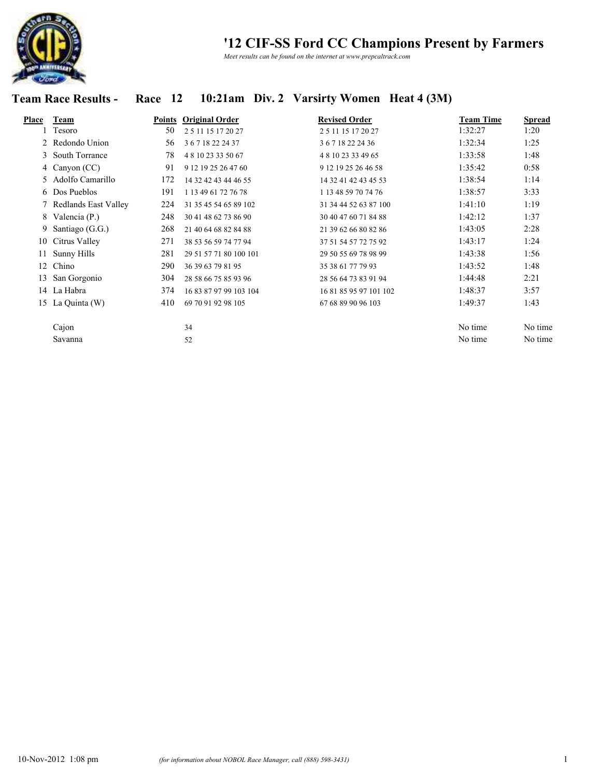

*Meet results can be found on the internet at www.prepcaltrack.com*

### **Team Race Results - Race 12 10:21am Div. 2 Varsirty Women Heat 4 (3M)**

| Place | Team                   | Points | <b>Original Order</b>  | <b>Revised Order</b>   | <b>Team Time</b> | <b>Spread</b> |
|-------|------------------------|--------|------------------------|------------------------|------------------|---------------|
|       | Tesoro                 | 50     | 25 11 15 17 20 27      | 2 5 11 15 17 20 27     | 1:32:27          | 1:20          |
|       | 2 Redondo Union        | 56     | 36718222437            | 36718222436            | 1:32:34          | 1:25          |
|       | 3 South Torrance       | 78     | 481023335067           | 4 8 10 23 33 49 65     | 1:33:58          | 1:48          |
|       | 4 Canyon (CC)          | 91     | 9 12 19 25 26 47 60    | 9 12 19 25 26 46 58    | 1:35:42          | 0:58          |
| 5.    | Adolfo Camarillo       | 172    | 14 32 42 43 44 46 55   | 14 32 41 42 43 45 53   | 1:38:54          | 1:14          |
|       | 6 Dos Pueblos          | 191    | 1 13 49 61 72 76 78    | 1 13 48 59 70 74 76    | 1:38:57          | 3:33          |
|       | 7 Redlands East Valley | 224    | 31 35 45 54 65 89 102  | 31 34 44 52 63 87 100  | 1:41:10          | 1:19          |
|       | 8 Valencia (P.)        | 248    | 30 41 48 62 73 86 90   | 30 40 47 60 71 84 88   | 1:42:12          | 1:37          |
| 9     | Santiago (G.G.)        | 268    | 21 40 64 68 82 84 88   | 21 39 62 66 80 82 86   | 1:43:05          | 2:28          |
|       | 10 Citrus Valley       | 271    | 38 53 56 59 74 77 94   | 37 51 54 57 72 75 92   | 1:43:17          | 1:24          |
| 11    | Sunny Hills            | 281    | 29 51 57 71 80 100 101 | 29 50 55 69 78 98 99   | 1:43:38          | 1:56          |
| 12    | Chino                  | 290    | 36 39 63 79 81 95      | 35 38 61 77 79 93      | 1:43:52          | 1:48          |
| 13    | San Gorgonio           | 304    | 28 58 66 75 85 93 96   | 28 56 64 73 83 91 94   | 1:44:48          | 2:21          |
|       | 14 La Habra            | 374    | 16 83 87 97 99 103 104 | 16 81 85 95 97 101 102 | 1:48:37          | 3:57          |
|       | 15 La Quinta (W)       | 410    | 69 70 91 92 98 105     | 67 68 89 90 96 103     | 1:49:37          | 1:43          |
|       | Cajon                  |        | 34                     |                        | No time          | No time       |
|       | Savanna                |        | 52                     |                        | No time          | No time       |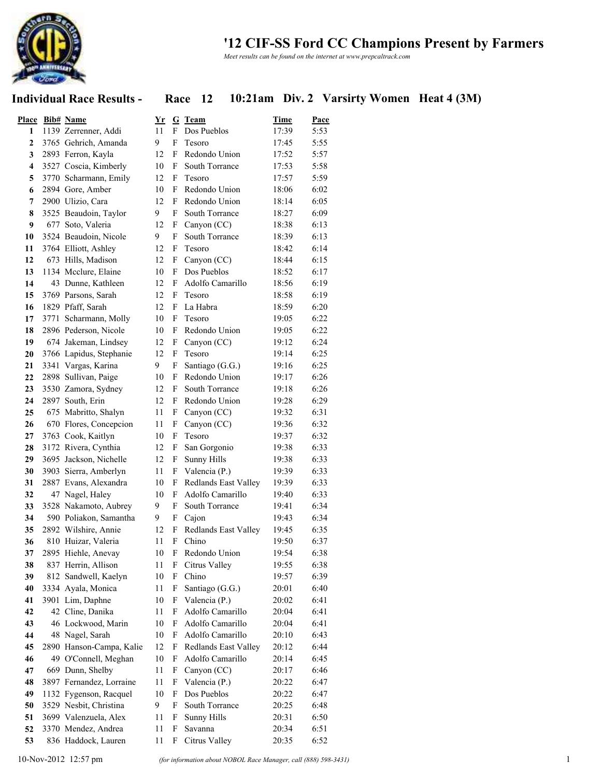

*Meet results can be found on the internet at www.prepcaltrack.com*

### **Individual Race Results - Race 12 10:21am Div. 2 Varsirty Women Heat 4 (3M)**

| <b>Place</b>            | <b>Bib#</b> Name         | $\underline{\mathbf{Yr}}$ |                           | G Team               | <b>Time</b> | Pace |
|-------------------------|--------------------------|---------------------------|---------------------------|----------------------|-------------|------|
| 1                       | 1139 Zerrenner, Addi     | 11                        | F                         | Dos Pueblos          | 17:39       | 5:53 |
| $\mathbf{2}$            | 3765 Gehrich, Amanda     | 9                         | F                         | Tesoro               | 17:45       | 5:55 |
| 3                       | 2893 Ferron, Kayla       | 12                        | F                         | Redondo Union        | 17:52       | 5:57 |
| $\overline{\mathbf{4}}$ | 3527 Coscia, Kimberly    | 10                        | F                         | South Torrance       | 17:53       | 5:58 |
| 5                       | 3770 Scharmann, Emily    | 12                        | F                         | Tesoro               | 17:57       | 5:59 |
| 6                       | 2894 Gore, Amber         | 10                        | F                         | Redondo Union        | 18:06       | 6:02 |
| 7                       | 2900 Ulizio, Cara        | 12                        | F                         | Redondo Union        | 18:14       | 6:05 |
| 8                       | 3525 Beaudoin, Taylor    | 9                         | F                         | South Torrance       | 18:27       | 6:09 |
| 9                       | 677 Soto, Valeria        | 12                        | F                         | Canyon (CC)          | 18:38       | 6:13 |
| 10                      | 3524 Beaudoin, Nicole    | 9                         | F                         | South Torrance       | 18:39       | 6:13 |
| 11                      | 3764 Elliott, Ashley     | 12                        | F                         | Tesoro               | 18:42       | 6:14 |
| 12                      | 673 Hills, Madison       | 12                        | F                         | Canyon (CC)          | 18:44       | 6:15 |
| 13                      | 1134 Mcclure, Elaine     | 10                        | F                         | Dos Pueblos          | 18:52       | 6:17 |
| 14                      | 43 Dunne, Kathleen       | 12                        | F                         | Adolfo Camarillo     | 18:56       | 6:19 |
| 15                      | 3769 Parsons, Sarah      | 12                        | F                         | Tesoro               | 18:58       | 6:19 |
| 16                      | 1829 Pfaff, Sarah        | 12                        | F                         | La Habra             | 18:59       | 6:20 |
| 17                      | 3771 Scharmann, Molly    | 10                        | F                         | Tesoro               | 19:05       | 6:22 |
| 18                      | 2896 Pederson, Nicole    | 10                        | F                         | Redondo Union        | 19:05       | 6:22 |
| 19                      | 674 Jakeman, Lindsey     | 12                        | F                         | Canyon (CC)          | 19:12       | 6:24 |
| 20                      | 3766 Lapidus, Stephanie  | 12                        | F                         | Tesoro               | 19:14       | 6:25 |
| 21                      | 3341 Vargas, Karina      | 9                         | F                         | Santiago (G.G.)      | 19:16       | 6:25 |
| 22                      | 2898 Sullivan, Paige     | 10                        | F                         | Redondo Union        | 19:17       | 6:26 |
| 23                      | 3530 Zamora, Sydney      | 12                        | F                         | South Torrance       | 19:18       | 6:26 |
| 24                      | 2897 South, Erin         | 12                        | F                         | Redondo Union        | 19:28       | 6:29 |
| 25                      | 675 Mabritto, Shalyn     | 11                        | F                         | Canyon (CC)          | 19:32       | 6:31 |
| 26                      | 670 Flores, Concepcion   | 11                        | F                         | Canyon (CC)          | 19:36       | 6:32 |
| 27                      | 3763 Cook, Kaitlyn       | 10                        | F                         | Tesoro               | 19:37       | 6:32 |
| 28                      | 3172 Rivera, Cynthia     | 12                        | F                         | San Gorgonio         | 19:38       | 6:33 |
| 29                      | 3695 Jackson, Nichelle   | 12                        | F                         | Sunny Hills          | 19:38       | 6:33 |
| 30                      | 3903 Sierra, Amberlyn    | 11                        | F                         | Valencia (P.)        | 19:39       | 6:33 |
| 31                      | 2887 Evans, Alexandra    | 10                        | F                         | Redlands East Valley | 19:39       | 6:33 |
| 32                      | 47 Nagel, Haley          | 10                        | F                         | Adolfo Camarillo     | 19:40       | 6:33 |
| 33                      | 3528 Nakamoto, Aubrey    | 9                         | F                         | South Torrance       | 19:41       | 6:34 |
| 34                      | 590 Poliakon, Samantha   | 9                         | F                         | Cajon                | 19:43       | 6:34 |
| 35                      | 2892 Wilshire, Annie     | 12                        | F                         | Redlands East Valley | 19:45       | 6:35 |
| 36                      | 810 Huizar, Valeria      | 11                        | $\boldsymbol{\mathrm{F}}$ | Chino                | 19:50       | 6:37 |
| 37                      | 2895 Hiehle, Anevay      | 10                        | $F_{-}$                   | Redondo Union        | 19:54       | 6:38 |
| 38                      | 837 Herrin, Allison      | 11                        | F                         | Citrus Valley        | 19:55       | 6:38 |
| 39                      | 812 Sandwell, Kaelyn     | 10                        | F                         | Chino                | 19:57       | 6:39 |
| 40                      | 3334 Ayala, Monica       | 11                        | F                         | Santiago (G.G.)      | 20:01       | 6:40 |
| 41                      | 3901 Lim, Daphne         | 10                        | F                         | Valencia (P.)        | 20:02       | 6:41 |
| 42                      | 42 Cline, Danika         | 11                        | F                         | Adolfo Camarillo     | 20:04       | 6:41 |
| 43                      | 46 Lockwood, Marin       | 10                        | F                         | Adolfo Camarillo     | 20:04       | 6:41 |
| 44                      | 48 Nagel, Sarah          | 10                        | F                         | Adolfo Camarillo     | 20:10       | 6:43 |
| 45                      | 2890 Hanson-Campa, Kalie | 12                        | F                         | Redlands East Valley | 20:12       | 6:44 |
| 46                      | 49 O'Connell, Meghan     | 10                        | F                         | Adolfo Camarillo     | 20:14       | 6:45 |
| 47                      | 669 Dunn, Shelby         | 11                        | F                         | Canyon (CC)          | 20:17       | 6:46 |
| 48                      | 3897 Fernandez, Lorraine | 11                        | F                         | Valencia (P.)        | 20:22       | 6:47 |
| 49                      | 1132 Fygenson, Racquel   | 10                        | F                         | Dos Pueblos          | 20:22       | 6:47 |
| 50                      | 3529 Nesbit, Christina   | 9                         | F                         | South Torrance       | 20:25       | 6:48 |
| 51                      | 3699 Valenzuela, Alex    | 11                        | F                         | <b>Sunny Hills</b>   | 20:31       | 6:50 |
| 52                      | 3370 Mendez, Andrea      | 11                        | F                         | Savanna              | 20:34       | 6:51 |
| 53                      | 836 Haddock, Lauren      | 11                        | F                         | Citrus Valley        | 20:35       | 6:52 |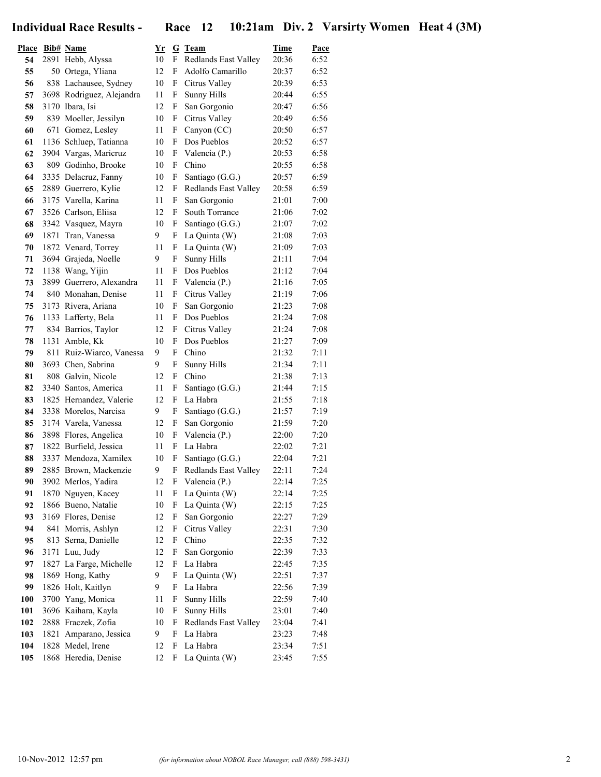**Individual Race Results - Race 12 10:21am Div. 2 Varsirty Women Heat 4 (3M)**

| <u>Place</u> | <b>Bib#</b> Name                            | $\underline{\mathbf{Yr}}$ |        | G Team                           | Time           | Pace         |
|--------------|---------------------------------------------|---------------------------|--------|----------------------------------|----------------|--------------|
| 54           | 2891 Hebb, Alyssa                           | 10                        | F      | Redlands East Valley             | 20:36          | 6:52         |
| 55           | 50 Ortega, Yliana                           | 12                        | F      | Adolfo Camarillo                 | 20:37          | 6:52         |
| 56           | 838 Lachausee, Sydney                       | 10                        | F      | Citrus Valley                    | 20:39          | 6:53         |
| 57           | 3698 Rodriguez, Alejandra                   | 11                        | F      | <b>Sunny Hills</b>               | 20:44          | 6:55         |
| 58           | 3170 Ibara. Isi                             | 12                        | F      | San Gorgonio                     | 20:47          | 6:56         |
| 59           | 839 Moeller, Jessilyn                       | 10                        | F      | Citrus Valley                    | 20:49          | 6:56         |
| 60           | 671 Gomez, Lesley                           | 11                        | F      | Canyon (CC)                      | 20:50          | 6:57         |
| 61           | 1136 Schluep, Tatianna                      | 10                        | F      | Dos Pueblos                      | 20:52          | 6:57         |
| 62           | 3904 Vargas, Marieruz                       | 10                        | F      | Valencia (P.)                    | 20:53          | 6:58         |
| 63           | 809 Godinho, Brooke                         | 10                        | F      | Chino                            | 20:55          | 6:58         |
| 64           | 3335 Delacruz, Fanny                        | 10                        | F      | Santiago (G.G.)                  | 20:57          | 6:59         |
| 65           | 2889 Guerrero, Kylie                        | 12                        | F      | Redlands East Valley             | 20:58          | 6:59         |
| 66           | 3175 Varella, Karina                        | 11                        | F      | San Gorgonio                     | 21:01          | 7:00         |
| 67           | 3526 Carlson, Eliisa                        | 12                        | F      | South Torrance                   | 21:06          | 7:02         |
| 68           | 3342 Vasquez, Mayra                         | 10                        | F      | Santiago (G.G.)                  | 21:07          | 7:02         |
| 69           | 1871 Tran, Vanessa                          | 9                         | F      | La Quinta (W)                    | 21:08          | 7:03         |
| 70           | 1872 Venard, Torrey                         | 11                        | F      | La Quinta (W)                    | 21:09          | 7:03         |
| 71           | 3694 Grajeda, Noelle                        | 9                         | F      | <b>Sunny Hills</b>               | 21:11          | 7:04         |
| 72           | 1138 Wang, Yijin                            | 11                        | F      | Dos Pueblos                      | 21:12          | 7:04         |
| 73           | 3899 Guerrero, Alexandra                    | 11                        | F      | Valencia (P.)                    | 21:16          | 7:05         |
| 74           | 840 Monahan, Denise                         | 11                        | F      | Citrus Valley                    | 21:19          | 7:06         |
| 75           | 3173 Rivera, Ariana                         | 10                        | F      | San Gorgonio                     | 21:23          | 7:08         |
| 76           | 1133 Lafferty, Bela                         | 11                        | F      | Dos Pueblos                      | 21:24          | 7:08         |
| 77           | 834 Barrios, Taylor                         | 12                        | F      | Citrus Valley                    | 21:24          | 7:08         |
| 78           | 1131 Amble, Kk                              | 10                        | F      | Dos Pueblos                      | 21:27          | 7:09         |
| 79           | 811 Ruiz-Wiarco, Vanessa                    | 9                         | F      | Chino                            | 21:32          | 7:11         |
| 80           | 3693 Chen, Sabrina                          | 9                         | F      | <b>Sunny Hills</b>               | 21:34          | 7:11         |
| 81           | 808 Galvin, Nicole                          | 12                        | F      | Chino                            | 21:38          | 7:13         |
| 82           | 3340 Santos, America                        | 11                        | F      | Santiago (G.G.)                  | 21:44          | 7:15         |
| 83           | 1825 Hernandez, Valerie                     | 12                        | F      | La Habra                         | 21:55          | 7:18         |
| 84           | 3338 Morelos, Narcisa                       | 9                         | F      | Santiago (G.G.)                  | 21:57          | 7:19         |
| 85           | 3174 Varela, Vanessa                        | 12                        | F      | San Gorgonio                     | 21:59          | 7:20         |
| 86           | 3898 Flores, Angelica                       | 10                        | F      | Valencia (P.)                    | 22:00          | 7:20         |
| 87           | 1822 Burfield, Jessica                      | 11                        | F      | La Habra                         | 22:02          | 7:21         |
| 88           | 3337 Mendoza, Xamilex                       | 10                        | F      | Santiago (G.G.)                  | 22:04          | 7:21         |
| 89           | 2885 Brown, Mackenzie                       | 9                         | F      | Redlands East Valley             | 22:11          | 7:24         |
| 90           | 3902 Merlos, Yadira                         | 12                        | F      | Valencia (P.)                    | 22:14          | 7:25         |
| 91           | 1870 Nguyen, Kacey                          | 11                        | F      | La Quinta (W)                    | 22:14          | 7:25         |
| 92           | 1866 Bueno, Natalie                         | 10                        | F      | La Quinta (W)                    | 22:15          | 7:25         |
| 93           | 3169 Flores, Denise                         | 12                        | F      | San Gorgonio                     | 22:27          | 7:29         |
| 94           | 841 Morris, Ashlyn                          | 12                        | F      | Citrus Valley                    | 22:31          | 7:30         |
| 95           | 813 Serna, Danielle                         | 12                        | F      | Chino                            | 22:35          | 7:32         |
| 96           | 3171 Luu, Judy                              | 12                        | F      | San Gorgonio<br>La Habra         | 22:39          | 7:33         |
| 97           | 1827 La Farge, Michelle                     | 12<br>9                   | F      |                                  | 22:45<br>22:51 | 7:35         |
| 98           | 1869 Hong, Kathy                            |                           | F      | La Quinta (W)                    |                | 7:37         |
| 99           | 1826 Holt, Kaitlyn                          | 9                         | F      | La Habra                         | 22:56          | 7:39         |
| 100          | 3700 Yang, Monica                           | 11                        | F      | Sunny Hills                      | 22:59          | 7:40         |
| 101          | 3696 Kaihara, Kayla                         | 10<br>10                  | F      | <b>Sunny Hills</b>               | 23:01          | 7:40         |
| 102<br>103   | 2888 Fraczek, Zofia                         | 9                         | F<br>F | Redlands East Valley<br>La Habra | 23:04<br>23:23 | 7:41         |
| 104          | 1821 Amparano, Jessica<br>1828 Medel, Irene | 12                        | F      | La Habra                         | 23:34          | 7:48<br>7:51 |
| 105          | 1868 Heredia, Denise                        | 12                        | F      | La Quinta (W)                    | 23:45          | 7:55         |
|              |                                             |                           |        |                                  |                |              |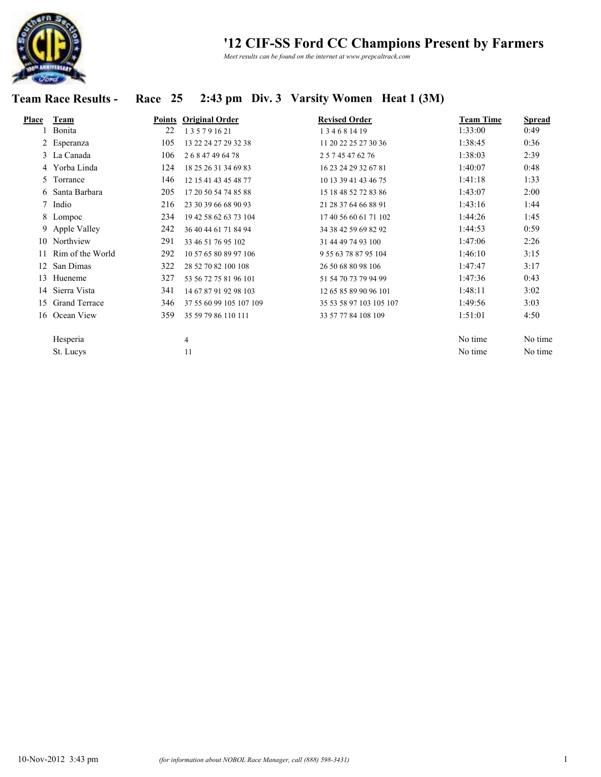

*Meet results can be found on the internet at www.prepcaltrack.com*

# **Team Race Results - Race 25 2:43 pm Div. 3 Varsity Women Heat 1 (3M)**

| Place | Team                 | Points | <b>Original Order</b>   | <b>Revised Order</b>    | <b>Team Time</b> | <b>Spread</b> |
|-------|----------------------|--------|-------------------------|-------------------------|------------------|---------------|
|       | Bonita               | 22     | 135791621               | 134681419               | 1:33:00          | 0:49          |
|       | 2 Esperanza          | 105    | 13 22 24 27 29 32 38    | 11 20 22 25 27 30 36    | 1:38:45          | 0:36          |
|       | 3 La Canada          | 106    | 26847496478             | 2 5 7 45 47 62 76       | 1:38:03          | 2:39          |
|       | 4 Yorba Linda        | 124    | 18 25 26 31 34 69 83    | 16 23 24 29 32 67 81    | 1:40:07          | 0:48          |
|       | 5 Torrance           | 146    | 12 15 41 43 45 48 77    | 10 13 39 41 43 46 75    | 1:41:18          | 1:33          |
|       | 6 Santa Barbara      | 205    | 17 20 50 54 74 85 88    | 15 18 48 52 72 83 86    | 1:43:07          | 2:00          |
|       | 7 Indio              | 216    | 23 30 39 66 68 90 93    | 21 28 37 64 66 88 91    | 1:43:16          | 1:44          |
|       | 8 Lompoc             | 234    | 19 42 58 62 63 73 104   | 17 40 56 60 61 71 102   | 1:44:26          | 1:45          |
|       | 9 Apple Valley       | 242    | 36 40 44 61 71 84 94    | 34 38 42 59 69 82 92    | 1:44:53          | 0:59          |
|       | 10 Northview         | 291    | 33 46 51 76 95 102      | 31 44 49 74 93 100      | 1:47:06          | 2:26          |
| 11    | Rim of the World     | 292    | 10 57 65 80 89 97 106   | 9 55 63 78 87 95 104    | 1:46:10          | 3:15          |
| 12    | San Dimas            | 322    | 28 52 70 82 100 108     | 26 50 68 80 98 106      | 1:47:47          | 3:17          |
| 13    | Hueneme              | 327    | 53 56 72 75 81 96 101   | 51 54 70 73 79 94 99    | 1:47:36          | 0:43          |
| 14    | Sierra Vista         | 341    | 14 67 87 91 92 98 103   | 12 65 85 89 90 96 101   | 1:48:11          | 3:02          |
| 15    | <b>Grand Terrace</b> | 346    | 37 55 60 99 105 107 109 | 35 53 58 97 103 105 107 | 1:49:56          | 3:03          |
|       | 16 Ocean View        | 359    | 35 59 79 86 110 111     | 33 57 77 84 108 109     | 1:51:01          | 4:50          |
|       | Hesperia             |        | $\overline{4}$          |                         | No time          | No time       |
|       | St. Lucys            |        | 11                      |                         | No time          | No time       |
|       |                      |        |                         |                         |                  |               |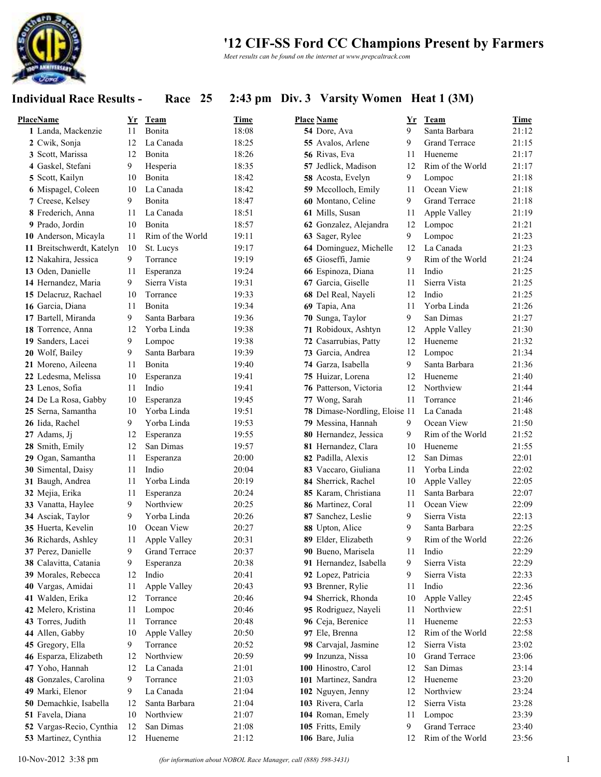

*Meet results can be found on the internet at www.prepcaltrack.com*

### **Individual Race Results - Race 25 2:43 pm Div. 3 Varsity Women Heat 1 (3M)**

| PlaceName                 | Yr             | <b>Team</b>            | Time           | <b>Place Name</b>             | Yr       | Team                          | Time  |
|---------------------------|----------------|------------------------|----------------|-------------------------------|----------|-------------------------------|-------|
| 1 Landa, Mackenzie        | 11             | Bonita                 | 18:08          | 54 Dore, Ava                  | 9        | Santa Barbara                 | 21:12 |
| 2 Cwik, Sonja             | 12             | La Canada              | 18:25          | 55 Avalos, Arlene             | 9        | <b>Grand Terrace</b>          | 21:15 |
| 3 Scott, Marissa          | 12             | Bonita                 | 18:26          | 56 Rivas, Eva                 | 11       | Hueneme                       | 21:17 |
| 4 Gaskel, Stefani         | 9              | Hesperia               | 18:35          | 57 Jedlick, Madison           | 12       | Rim of the World              | 21:17 |
| 5 Scott, Kailyn           | 10             | Bonita                 | 18:42          | 58 Acosta, Evelyn             | 9        | Lompoc                        | 21:18 |
| 6 Mispagel, Coleen        | 10             | La Canada              | 18:42          | 59 Mccolloch, Emily           | 11       | Ocean View                    | 21:18 |
| 7 Creese, Kelsey          | 9              | Bonita                 | 18:47          | 60 Montano, Celine            | 9        | <b>Grand Terrace</b>          | 21:18 |
| 8 Frederich, Anna         | 11             | La Canada              | 18:51          | 61 Mills, Susan               | 11       | Apple Valley                  | 21:19 |
| 9 Prado, Jordin           | 10             | Bonita                 | 18:57          | 62 Gonzalez, Alejandra        | 12       | Lompoc                        | 21:21 |
| 10 Anderson, Micayla      | 11             | Rim of the World       | 19:11          | 63 Sager, Rylee               | 9        | Lompoc                        | 21:23 |
| 11 Breitschwerdt, Katelyn | 10             | St. Lucys              | 19:17          | 64 Dominguez, Michelle        | 12       | La Canada                     | 21:23 |
| 12 Nakahira, Jessica      | 9              | Torrance               | 19:19          | 65 Gioseffi, Jamie            | 9        | Rim of the World              | 21:24 |
| 13 Oden, Danielle         | 11             | Esperanza              | 19:24          | 66 Espinoza, Diana            | 11       | Indio                         | 21:25 |
| 14 Hernandez, Maria       | 9              | Sierra Vista           | 19:31          | 67 Garcia, Giselle            | 11       | Sierra Vista                  | 21:25 |
| 15 Delacruz, Rachael      | 10             | Torrance               | 19:33          | 68 Del Real, Nayeli           | 12       | Indio                         | 21:25 |
| 16 Garcia, Diana          | 11             | Bonita                 | 19:34          | 69 Tapia, Ana                 | 11       | Yorba Linda                   | 21:26 |
| 17 Bartell, Miranda       | 9              | Santa Barbara          | 19:36          | 70 Sunga, Taylor              | 9        | San Dimas                     | 21:27 |
| 18 Torrence, Anna         | 12             | Yorba Linda            | 19:38          | 71 Robidoux, Ashtyn           | 12       | Apple Valley                  | 21:30 |
| 19 Sanders, Lacei         | 9              | Lompoc                 | 19:38          | 72 Casarrubias, Patty         | 12       | Hueneme                       | 21:32 |
| 20 Wolf, Bailey           | 9              | Santa Barbara          | 19:39          | 73 Garcia, Andrea             | 12       | Lompoc                        | 21:34 |
| 21 Moreno, Aileena        | 11             | Bonita                 | 19:40          | 74 Garza, Isabella            | 9        | Santa Barbara                 | 21:36 |
| 22 Ledesma, Melissa       | 10             | Esperanza              | 19:41          | 75 Huizar, Lorena             | 12       | Hueneme                       | 21:40 |
| 23 Lenos, Sofia           | 11             | Indio                  | 19:41          | 76 Patterson, Victoria        | 12       | Northview                     | 21:44 |
| 24 De La Rosa, Gabby      | 10             | Esperanza              | 19:45          | 77 Wong, Sarah                | 11       | Torrance                      | 21:46 |
| 25 Serna, Samantha        | 10             | Yorba Linda            | 19:51          | 78 Dimase-Nordling, Eloise 11 |          | La Canada                     | 21:48 |
| 26 Iida, Rachel           | 9              | Yorba Linda            | 19:53          | 79 Messina, Hannah            | 9        | Ocean View                    | 21:50 |
| 27 Adams, Jj              | 12             | Esperanza              | 19:55          | 80 Hernandez, Jessica         | 9        | Rim of the World              | 21:52 |
| 28 Smith, Emily           | 12             | San Dimas              | 19:57          | 81 Hernandez, Clara           | 10       | Hueneme                       | 21:55 |
| 29 Ogan, Samantha         | 11             | Esperanza              | 20:00          | 82 Padilla, Alexis            | 12       | San Dimas                     | 22:01 |
| 30 Simental, Daisy        | 11             | Indio                  | 20:04          | 83 Vaccaro, Giuliana          | 11       | Yorba Linda                   | 22:02 |
|                           | 11             | Yorba Linda            | 20:19          | 84 Sherrick, Rachel           | 10       |                               | 22:05 |
| 31 Baugh, Andrea          |                |                        |                |                               |          | Apple Valley<br>Santa Barbara | 22:07 |
| 32 Mejia, Erika           | 11<br>9        | Esperanza<br>Northview | 20:24<br>20:25 | 85 Karam, Christiana          | 11<br>11 | Ocean View                    | 22:09 |
| 33 Vanatta, Haylee        | 9              | Yorba Linda            | 20:26          | 86 Martinez, Coral            | 9        | Sierra Vista                  | 22:13 |
| 34 Asciak, Taylor         |                |                        |                | 87 Sanchez, Leslie            |          |                               |       |
| 35 Huerta, Kevelin        | 10             | Ocean View             | 20:27          | 88 Upton, Alice               | 9        | Santa Barbara                 | 22:25 |
| 36 Richards, Ashley       | 11             | Apple Valley           | 20:31          | 89 Elder, Elizabeth           | 9        | Rim of the World              | 22:26 |
| 37 Perez, Danielle        | 9              | <b>Grand Terrace</b>   | 20:37          | 90 Bueno, Marisela            | 11       | Indio                         | 22:29 |
| 38 Calavitta, Catania     | 9              | Esperanza              | 20:38          | 91 Hernandez, Isabella        | 9        | Sierra Vista                  | 22:29 |
| 39 Morales, Rebecca       | 12             | Indio                  | 20:41          | 92 Lopez, Patricia            | 9        | Sierra Vista                  | 22:33 |
| 40 Vargas, Amidai         | 11             | Apple Valley           | 20:43          | 93 Brenner, Rylie             | 11       | Indio                         | 22:36 |
| 41 Walden, Erika          | 12             | Torrance               | 20:46          | 94 Sherrick, Rhonda           | 10       | Apple Valley                  | 22:45 |
| 42 Melero, Kristina       | 11             | Lompoc                 | 20:46          | 95 Rodriguez, Nayeli          | 11       | Northview                     | 22:51 |
| 43 Torres, Judith         | 11             | Torrance               | 20:48          | 96 Ceja, Berenice             | 11       | Hueneme                       | 22:53 |
| 44 Allen, Gabby           | 10             | Apple Valley           | 20:50          | 97 Ele, Brenna                | 12       | Rim of the World              | 22:58 |
| 45 Gregory, Ella          | 9              | Torrance               | 20:52          | 98 Carvajal, Jasmine          | 12       | Sierra Vista                  | 23:02 |
| 46 Esparza, Elizabeth     | 12             | Northview              | 20:59          | 99 Inzunza, Nissa             | 10       | Grand Terrace                 | 23:06 |
| 47 Yoho, Hannah           | 12             | La Canada              | 21:01          | 100 Hinostro, Carol           | 12       | San Dimas                     | 23:14 |
| 48 Gonzales, Carolina     | $\overline{9}$ | Torrance               | 21:03          | 101 Martinez, Sandra          | 12       | Hueneme                       | 23:20 |
| 49 Marki, Elenor          | $\overline{9}$ | La Canada              | 21:04          | 102 Nguyen, Jenny             | 12       | Northview                     | 23:24 |
| 50 Demachkie, Isabella    | 12             | Santa Barbara          | 21:04          | 103 Rivera, Carla             | 12       | Sierra Vista                  | 23:28 |
| 51 Favela, Diana          | 10             | Northview              | 21:07          | 104 Roman, Emely              | 11       | Lompoc                        | 23:39 |
| 52 Vargas-Recio, Cynthia  | 12             | San Dimas              | 21:08          | 105 Fritts, Emily             | 9        | <b>Grand Terrace</b>          | 23:40 |
| 53 Martinez, Cynthia      | 12             | Hueneme                | 21:12          | 106 Bare, Julia               | 12       | Rim of the World              | 23:56 |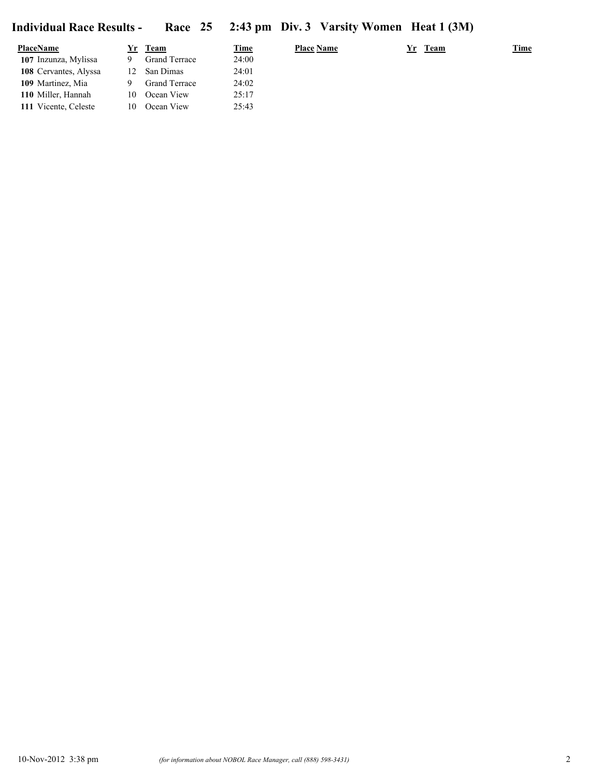| <b>PlaceName</b>      | Yr | Team                 | <u>Time</u> | <b>Place Name</b> | <b>Team</b><br>Yr | <b>Time</b> |
|-----------------------|----|----------------------|-------------|-------------------|-------------------|-------------|
| 107 Inzunza, Mylissa  |    | <b>Grand Terrace</b> | 24:00       |                   |                   |             |
| 108 Cervantes, Alyssa | 12 | San Dimas            | 24:01       |                   |                   |             |
| 109 Martinez, Mia     |    | Grand Terrace        | 24:02       |                   |                   |             |
| 110 Miller, Hannah    | 10 | Ocean View           | 25:17       |                   |                   |             |
| 111 Vicente, Celeste  | 10 | Ocean View           | 25:43       |                   |                   |             |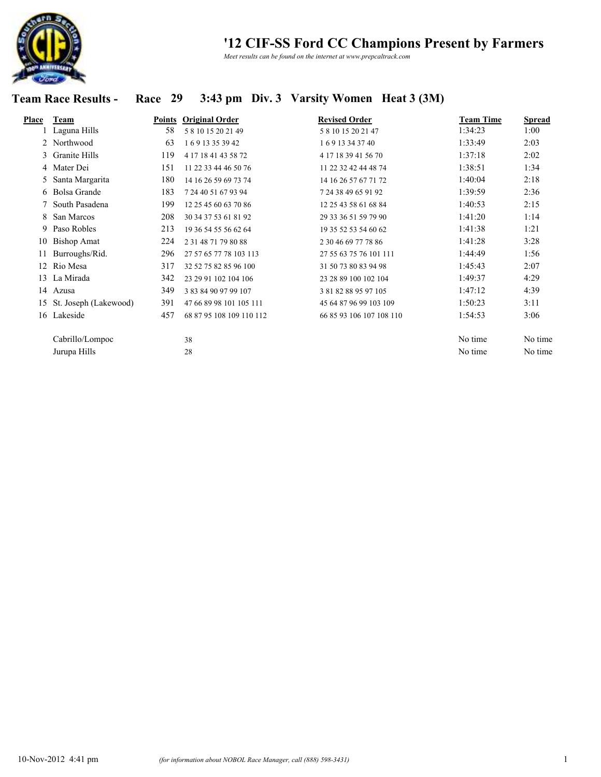

*Meet results can be found on the internet at www.prepcaltrack.com*

# **Team Race Results - Race 29 3:43 pm Div. 3 Varsity Women Heat 3 (3M)**

| Place | Team                  | Points | <b>Original Order</b>     | <b>Revised Order</b>     | <b>Team Time</b> | Spread  |
|-------|-----------------------|--------|---------------------------|--------------------------|------------------|---------|
|       | Laguna Hills          | 58     | 581015202149              | 581015202147             | 1:34:23          | 1:00    |
|       | 2 Northwood           | 63     | 16913353942               | 169 13 34 37 40          | 1:33:49          | 2:03    |
|       | 3 Granite Hills       | 119    | 4 17 18 41 43 58 72       | 4 17 18 39 41 56 70      | 1:37:18          | 2:02    |
|       | 4 Mater Dei           | 151    | 11 22 33 44 46 50 76      | 11 22 32 42 44 48 74     | 1:38:51          | 1:34    |
|       | 5 Santa Margarita     | 180    | 14 16 26 59 69 73 74      | 14 16 26 57 67 71 72     | 1:40:04          | 2:18    |
|       | 6 Bolsa Grande        | 183    | 7 24 40 51 67 93 94       | 7 24 38 49 65 91 92      | 1:39:59          | 2:36    |
|       | 7 South Pasadena      | 199    | 12 25 45 60 63 70 86      | 12 25 43 58 61 68 84     | 1:40:53          | 2:15    |
| 8     | San Marcos            | 208    | 30 34 37 53 61 81 92      | 29 33 36 51 59 79 90     | 1:41:20          | 1:14    |
| 9     | Paso Robles           | 213    | 19 36 54 55 56 62 64      | 19 35 52 53 54 60 62     | 1:41:38          | 1:21    |
| 10    | <b>Bishop Amat</b>    | 224    | 2 3 1 4 8 7 1 7 9 8 0 8 8 | 2 30 46 69 77 78 86      | 1:41:28          | 3:28    |
| 11    | Burroughs/Rid.        | 296    | 27 57 65 77 78 103 113    | 27 55 63 75 76 101 111   | 1:44:49          | 1:56    |
| 12    | Rio Mesa              | 317    | 32 52 75 82 85 96 100     | 31 50 73 80 83 94 98     | 1:45:43          | 2:07    |
| 13    | La Mirada             | 342    | 23 29 91 102 104 106      | 23 28 89 100 102 104     | 1:49:37          | 4:29    |
| 14    | Azusa                 | 349    | 3 83 84 90 97 99 107      | 3 81 82 88 95 97 105     | 1:47:12          | 4:39    |
| 15    | St. Joseph (Lakewood) | 391    | 47 66 89 98 101 105 111   | 45 64 87 96 99 103 109   | 1:50:23          | 3:11    |
| 16    | Lakeside              | 457    | 68 87 95 108 109 110 112  | 66 85 93 106 107 108 110 | 1:54:53          | 3:06    |
|       | Cabrillo/Lompoc       |        | 38                        |                          | No time          | No time |
|       | Jurupa Hills          |        | 28                        |                          | No time          | No time |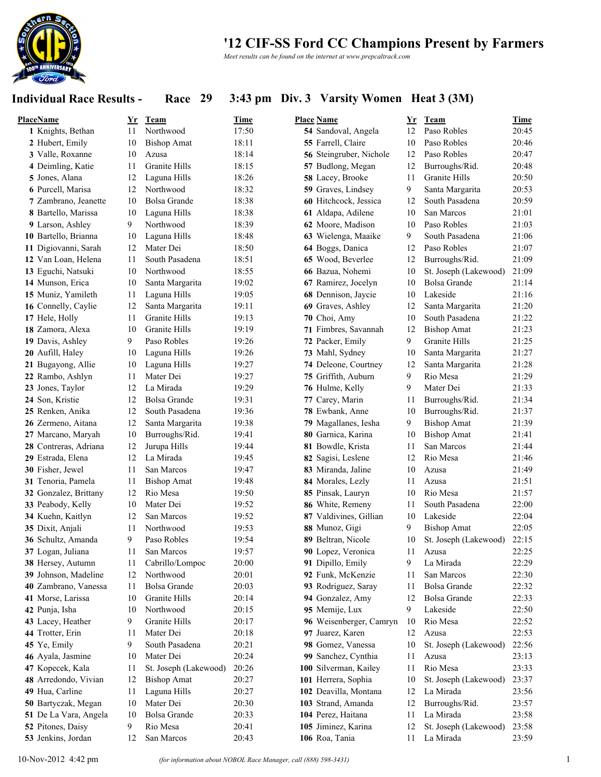

*Meet results can be found on the internet at www.prepcaltrack.com*

### **Individual Race Results - Race 29 3:43 pm Div. 3 Varsity Women Heat 3 (3M)**

| <b>PlaceName</b>        | Yr | Team                  | <b>Time</b> | <b>Place Name</b>       | Yr | Team                  | Time  |
|-------------------------|----|-----------------------|-------------|-------------------------|----|-----------------------|-------|
| 1 Knights, Bethan       | 11 | Northwood             | 17:50       | 54 Sandoval, Angela     | 12 | Paso Robles           | 20:45 |
| 2 Hubert, Emily         | 10 | <b>Bishop Amat</b>    | 18:11       | 55 Farrell, Claire      | 10 | Paso Robles           | 20:46 |
| 3 Valle, Roxanne        | 10 | Azusa                 | 18:14       | 56 Steingruber, Nichole | 12 | Paso Robles           | 20:47 |
| 4 Deimling, Katie       | 11 | Granite Hills         | 18:15       | 57 Budlong, Megan       | 12 | Burroughs/Rid.        | 20:48 |
| 5 Jones, Alana          | 12 | Laguna Hills          | 18:26       | 58 Lacey, Brooke        | 11 | Granite Hills         | 20:50 |
| 6 Purcell, Marisa       | 12 | Northwood             | 18:32       | 59 Graves, Lindsey      | 9  | Santa Margarita       | 20:53 |
| 7 Zambrano, Jeanette    | 10 | <b>Bolsa Grande</b>   | 18:38       | 60 Hitchcock, Jessica   | 12 | South Pasadena        | 20:59 |
| 8 Bartello, Marissa     | 10 | Laguna Hills          | 18:38       | 61 Aldapa, Adilene      | 10 | San Marcos            | 21:01 |
| 9 Larson, Ashley        | 9  | Northwood             | 18:39       | 62 Moore, Madison       | 10 | Paso Robles           | 21:03 |
| 10 Bartello, Brianna    | 10 | Laguna Hills          | 18:48       | 63 Wielenga, Maaike     | 9  | South Pasadena        | 21:06 |
| Digiovanni, Sarah<br>11 | 12 | Mater Dei             | 18:50       | 64 Boggs, Danica        | 12 | Paso Robles           | 21:07 |
| 12 Van Loan, Helena     | 11 | South Pasadena        | 18:51       | 65 Wood, Beverlee       | 12 | Burroughs/Rid.        | 21:09 |
| 13 Eguchi, Natsuki      | 10 | Northwood             | 18:55       | 66 Bazua, Nohemi        | 10 | St. Joseph (Lakewood) | 21:09 |
| 14 Munson, Erica        | 10 | Santa Margarita       | 19:02       | 67 Ramirez, Jocelyn     | 10 | <b>Bolsa Grande</b>   | 21:14 |
| 15 Muniz, Yamileth      | 11 | Laguna Hills          | 19:05       | 68 Dennison, Jaycie     | 10 | Lakeside              | 21:16 |
| 16 Connelly, Caylie     | 12 | Santa Margarita       | 19:11       | 69 Graves, Ashley       | 12 | Santa Margarita       | 21:20 |
| 17 Hele, Holly          | 11 | Granite Hills         | 19:13       | 70 Choi, Amy            | 10 | South Pasadena        | 21:22 |
| 18 Zamora, Alexa        | 10 | <b>Granite Hills</b>  | 19:19       | 71 Fimbres, Savannah    | 12 | <b>Bishop Amat</b>    | 21:23 |
| 19 Davis, Ashley        | 9  | Paso Robles           | 19:26       | 72 Packer, Emily        | 9  | Granite Hills         | 21:25 |
| 20 Aufill, Haley        | 10 | Laguna Hills          | 19:26       | 73 Mahl, Sydney         | 10 | Santa Margarita       | 21:27 |
| 21 Bugayong, Allie      | 10 | Laguna Hills          | 19:27       | 74 Deleone, Courtney    | 12 | Santa Margarita       | 21:28 |
| 22 Rambo, Ashlyn        | 11 | Mater Dei             | 19:27       | 75 Griffith, Auburn     | 9  | Rio Mesa              | 21:29 |
| 23 Jones, Taylor        | 12 | La Mirada             | 19:29       | 76 Hulme, Kelly         | 9  | Mater Dei             | 21:33 |
| 24 Son, Kristie         | 12 | <b>Bolsa Grande</b>   | 19:31       | 77 Carey, Marin         | 11 | Burroughs/Rid.        | 21:34 |
| 25 Renken, Anika        | 12 | South Pasadena        | 19:36       | 78 Ewbank, Anne         | 10 | Burroughs/Rid.        | 21:37 |
| 26 Zermeno, Aitana      | 12 | Santa Margarita       | 19:38       | 79 Magallanes, Iesha    | 9  | <b>Bishop Amat</b>    | 21:39 |
| 27 Marcano, Maryah      | 10 | Burroughs/Rid.        | 19:41       | 80 Garnica, Karina      | 10 | <b>Bishop Amat</b>    | 21:41 |
| 28 Contreras, Adriana   | 12 | Jurupa Hills          | 19:44       | 81 Bowdle, Krista       | 11 | San Marcos            | 21:44 |
| 29 Estrada, Elena       | 12 | La Mirada             | 19:45       | 82 Sagisi, Leslene      | 12 | Rio Mesa              | 21:46 |
| 30 Fisher, Jewel        | 11 | San Marcos            | 19:47       | 83 Miranda, Jaline      | 10 | Azusa                 | 21:49 |
| 31 Tenoria, Pamela      | 11 | <b>Bishop Amat</b>    | 19:48       | 84 Morales, Lezly       | 11 | Azusa                 | 21:51 |
| 32 Gonzalez, Brittany   | 12 | Rio Mesa              | 19:50       | 85 Pinsak, Lauryn       | 10 | Rio Mesa              | 21:57 |
| 33 Peabody, Kelly       | 10 | Mater Dei             | 19:52       | 86 White, Remeny        | 11 | South Pasadena        | 22:00 |
| 34 Kuehn, Kaitlyn       | 12 | San Marcos            | 19:52       | 87 Valdivines, Gillian  | 10 | Lakeside              | 22:04 |
| 35 Dixit, Anjali        | 11 | Northwood             | 19:53       | 88 Munoz, Gigi          | 9  | <b>Bishop Amat</b>    | 22:05 |
| 36 Schultz, Amanda      | 9  | Paso Robles           | 19:54       | 89 Beltran, Nicole      | 10 | St. Joseph (Lakewood) | 22:15 |
| 37 Logan, Juliana       | 11 | San Marcos            | 19:57       | 90 Lopez, Veronica      | 11 | Azusa                 | 22:25 |
| 38 Hersey, Autumn       | 11 | Cabrillo/Lompoc       | 20:00       | 91 Dipillo, Emily       | 9  | La Mirada             | 22:29 |
| 39 Johnson, Madeline    | 12 | Northwood             | 20:01       | 92 Funk, McKenzie       | 11 | San Marcos            | 22:30 |
| 40 Zambrano, Vanessa    | 11 | Bolsa Grande          | 20:03       | 93 Rodriguez, Saray     | 11 | Bolsa Grande          | 22:32 |
| 41 Morse, Larissa       | 10 | Granite Hills         | 20:14       | 94 Gonzalez, Amy        | 12 | Bolsa Grande          | 22:33 |
| 42 Punja, Isha          | 10 | Northwood             | 20:15       | 95 Memije, Lux          | 9  | Lakeside              | 22:50 |
| 43 Lacey, Heather       | 9  | Granite Hills         | 20:17       | 96 Weisenberger, Camryn | 10 | Rio Mesa              | 22:52 |
| 44 Trotter, Erin        | 11 | Mater Dei             | 20:18       | 97 Juarez, Karen        | 12 | Azusa                 | 22:53 |
| 45 Ye, Emily            | 9  | South Pasadena        | 20:21       | 98 Gomez, Vanessa       | 10 | St. Joseph (Lakewood) | 22:56 |
| 46 Ayala, Jasmine       | 10 | Mater Dei             | 20:24       | 99 Sanchez, Cynthia     | 11 | Azusa                 | 23:13 |
| 47 Kopecek, Kala        | 11 | St. Joseph (Lakewood) | 20:26       | 100 Silverman, Kailey   | 11 | Rio Mesa              | 23:33 |
| 48 Arredondo, Vivian    | 12 | <b>Bishop Amat</b>    | 20:27       | 101 Herrera, Sophia     | 10 | St. Joseph (Lakewood) | 23:37 |
| 49 Hua, Carline         | 11 | Laguna Hills          | 20:27       | 102 Deavilla, Montana   | 12 | La Mirada             | 23:56 |
| 50 Bartyczak, Megan     | 10 | Mater Dei             | 20:30       | 103 Strand, Amanda      | 12 | Burroughs/Rid.        | 23:57 |
| 51 De La Vara, Angela   | 10 | Bolsa Grande          | 20:33       | 104 Perez, Haitana      | 11 | La Mirada             | 23:58 |
| 52 Pitones, Daisy       | 9  | Rio Mesa              | 20:41       | 105 Jiminez, Karina     | 12 | St. Joseph (Lakewood) | 23:58 |
| 53 Jenkins, Jordan      | 12 | San Marcos            | 20:43       | 106 Roa, Tania          | 11 | La Mirada             | 23:59 |